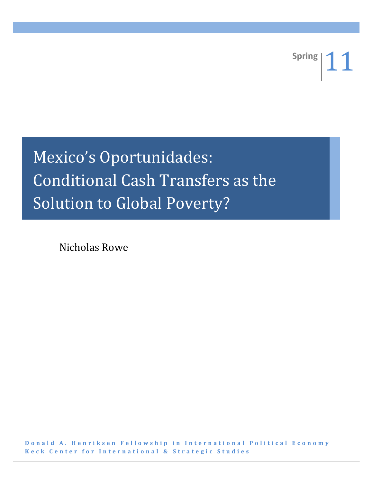**Spring** 

Mexico's Oportunidades: Conditional Cash Transfers as the Solution to Global Poverty?

Nicholas Rowe

**Donald A. Henriksen Fellowship in International Political Economy Keck Center for International & Strategic Studies**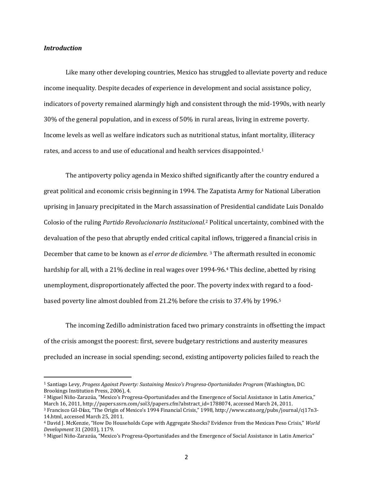# *Introduction*

ı

Like many other developing countries, Mexico has struggled to alleviate poverty and reduce income inequality. Despite decades of experience in development and social assistance policy, indicators of poverty remained alarmingly high and consistent through the mid-1990s, with nearly 30% of the general population, and in excess of 50% in rural areas, living in extreme poverty. Income levels as well as welfare indicators such as nutritional status, infant mortality, illiteracy rates, and access to and use of educational and health services disappointed.[1](#page-1-0)

The antipoverty policy agenda in Mexico shifted significantly after the country endured a great political and economic crisis beginning in 1994. The Zapatista Army for National Liberation uprising in January precipitated in the March assassination of Presidential candidate Luis Donaldo Colosio of the ruling *Partido Revolucionario Institucional*.[2](#page-1-1) Political uncertainty, combined with the devaluation of the peso that abruptly ended critical capital inflows, triggered a financial crisis in December that came to be known as *el error de diciembre*. [3](#page-1-2) The aftermath resulted in economic hardship for all, with a 21% decline in real wages over 199[4](#page-1-3)-96.4 This decline, abetted by rising unemployment, disproportionately affected the poor. The poverty index with regard to a foodbased poverty line almost doubled from 21.2% before the crisis to 37.4% by 1996.[5](#page-1-4)

The incoming Zedillo administration faced two primary constraints in offsetting the impact of the crisis amongst the poorest: first, severe budgetary restrictions and austerity measures precluded an increase in social spending; second, existing antipoverty policies failed to reach the

<span id="page-1-0"></span><sup>1</sup> Santiago Levy, *Progess Against Poverty: Sustaining Mexico's Progresa-Oportunidades Program* (Washington, DC: Brookings Institution Press, 2006), 4.

<span id="page-1-1"></span><sup>2</sup> Miguel Niño-Zarazúa, "Mexico's Progresa-Oportunidades and the Emergence of Social Assistance in Latin America," March 16, 2011[, http://papers.ssrn.com/sol3/papers.cfm?abstract\\_id=1788074,](http://papers.ssrn.com/sol3/papers.cfm?abstract_id=1788074) accessed March 24, 2011.

<span id="page-1-2"></span><sup>3</sup> Francisco Gil-D**í**az, "The Origin of Mexico's 1994 Financial Crisis," 1998[, http://www.cato.org/pubs/journal/cj17n3-](http://www.cato.org/pubs/journal/cj17n3-14.html) [14.html,](http://www.cato.org/pubs/journal/cj17n3-14.html) accessed March 25, 2011.

<span id="page-1-3"></span><sup>4</sup> David J. McKenzie, "How Do Households Cope with Aggregate Shocks? Evidence from the Mexican Peso Crisis," *World Development* 31 (2003), 1179.

<span id="page-1-4"></span><sup>5</sup> Miguel Niño-Zarazúa, "Mexico's Progresa-Oportunidades and the Emergence of Social Assistance in Latin America"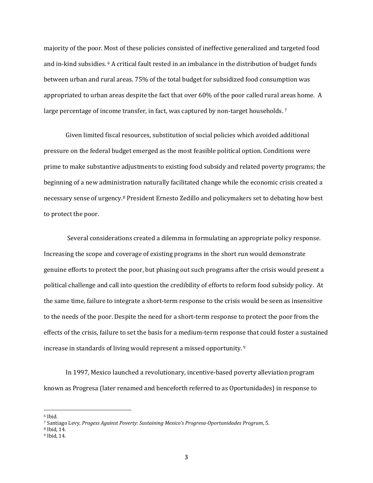majority of the poor. Most of these policies consisted of ineffective generalized and targeted food and in-kind subsidies. [6](#page-2-0) A critical fault rested in an imbalance in the distribution of budget funds between urban and rural areas. 75% of the total budget for subsidized food consumption was appropriated to urban areas despite the fact that over 60% of the poor called rural areas home. A large percentage of income transfer, in fact, was captured by non-target households.<sup>[7](#page-2-1)</sup>

Given limited fiscal resources, substitution of social policies which avoided additional pressure on the federal budget emerged as the most feasible political option. Conditions were prime to make substantive adjustments to existing food subsidy and related poverty programs; the beginning of a new administration naturally facilitated change while the economic crisis created a necessary sense of urgency.<sup>[8](#page-2-2)</sup> President Ernesto Zedillo and policymakers set to debating how best to protect the poor.

Several considerations created a dilemma in formulating an appropriate policy response. Increasing the scope and coverage of existing programs in the short run would demonstrate genuine efforts to protect the poor, but phasing out such programs after the crisis would present a political challenge and call into question the credibility of efforts to reform food subsidy policy. At the same time, failure to integrate a short-term response to the crisis would be seen as insensitive to the needs of the poor. Despite the need for a short-term response to protect the poor from the effects of the crisis, failure to set the basis for a medium-term response that could foster a sustained increase in standards of living would represent a missed opportunity. [9](#page-2-3)

In 1997, Mexico launched a revolutionary, incentive-based poverty alleviation program known as Progresa (later renamed and henceforth referred to as Oportunidades) in response to

<span id="page-2-0"></span><sup>6</sup> Ibid.

<span id="page-2-1"></span><sup>7</sup> Santiago Levy, *Progess Against Poverty: Sustaining Mexico's Progresa-Oportunidades Program*, 5.

<span id="page-2-2"></span><sup>8</sup> Ibid, 14.

<span id="page-2-3"></span><sup>9</sup> Ibid, 14.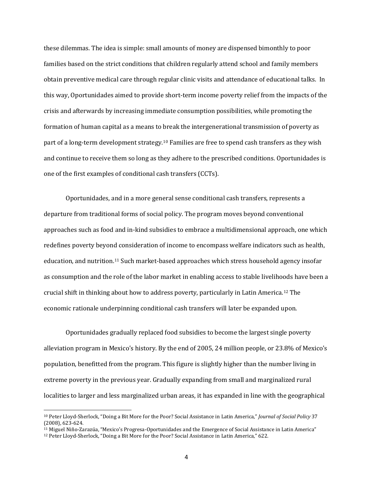these dilemmas. The idea is simple: small amounts of money are dispensed bimonthly to poor families based on the strict conditions that children regularly attend school and family members obtain preventive medical care through regular clinic visits and attendance of educational talks. In this way, Oportunidades aimed to provide short-term income poverty relief from the impacts of the crisis and afterwards by increasing immediate consumption possibilities, while promoting the formation of human capital as a means to break the intergenerational transmission of poverty as part of a long-term development strategy.[10](#page-3-0) Families are free to spend cash transfers as they wish and continue to receive them so long as they adhere to the prescribed conditions. Oportunidades is one of the first examples of conditional cash transfers (CCTs).

Oportunidades, and in a more general sense conditional cash transfers, represents a departure from traditional forms of social policy. The program moves beyond conventional approaches such as food and in-kind subsidies to embrace a multidimensional approach, one which redefines poverty beyond consideration of income to encompass welfare indicators such as health, education, and nutrition. [11](#page-3-1) Such market-based approaches which stress household agency insofar as consumption and the role of the labor market in enabling access to stable livelihoods have been a crucial shift in thinking about how to address poverty, particularly in Latin America.[12](#page-3-2) The economic rationale underpinning conditional cash transfers will later be expanded upon.

Oportunidades gradually replaced food subsidies to become the largest single poverty alleviation program in Mexico's history. By the end of 2005, 24 million people, or 23.8% of Mexico's population, benefitted from the program. This figure is slightly higher than the number living in extreme poverty in the previous year. Gradually expanding from small and marginalized rural localities to larger and less marginalized urban areas, it has expanded in line with the geographical

<span id="page-3-0"></span><sup>10</sup> Peter Lloyd-Sherlock, "Doing a Bit More for the Poor? Social Assistance in Latin America," *Journal of Social Policy* 37 (2008), 623-624.

<span id="page-3-1"></span><sup>11</sup> Miguel Niño-Zarazúa, "Mexico's Progresa-Oportunidades and the Emergence of Social Assistance in Latin America"

<span id="page-3-2"></span><sup>12</sup> Peter Lloyd-Sherlock, "Doing a Bit More for the Poor? Social Assistance in Latin America," 622.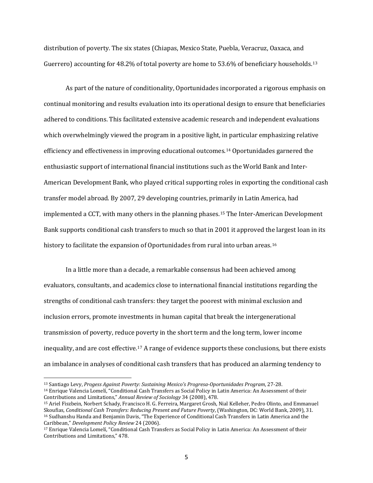distribution of poverty. The six states (Chiapas, Mexico State, Puebla, Veracruz, Oaxaca, and Guerrero) accounting for 48.2% of total poverty are home to 53.6% of beneficiary households.<sup>[13](#page-4-0)</sup>

As part of the nature of conditionality, Oportunidades incorporated a rigorous emphasis on continual monitoring and results evaluation into its operational design to ensure that beneficiaries adhered to conditions. This facilitated extensive academic research and independent evaluations which overwhelmingly viewed the program in a positive light, in particular emphasizing relative efficiency and effectiveness in improving educational outcomes.[14](#page-4-1) Oportunidades garnered the enthusiastic support of international financial institutions such as the World Bank and Inter-American Development Bank, who played critical supporting roles in exporting the conditional cash transfer model abroad. By 2007, 29 developing countries, primarily in Latin America, had implemented a CCT, with many others in the planning phases.[15](#page-4-2) The Inter-American Development Bank supports conditional cash transfers to much so that in 2001 it approved the largest loan in its history to facilitate the expansion of Oportunidades from rural into urban areas.<sup>[16](#page-4-3)</sup>

In a little more than a decade, a remarkable consensus had been achieved among evaluators, consultants, and academics close to international financial institutions regarding the strengths of conditional cash transfers: they target the poorest with minimal exclusion and inclusion errors, promote investments in human capital that break the intergenerational transmission of poverty, reduce poverty in the short term and the long term, lower income inequality, and are cost effective.[17](#page-4-4) A range of evidence supports these conclusions, but there exists an imbalance in analyses of conditional cash transfers that has produced an alarming tendency to

<span id="page-4-0"></span><sup>13</sup> Santiago Levy, *Progess Against Poverty: Sustaining Mexico's Progresa-Oportunidades Program*, 27-28.

<span id="page-4-1"></span><sup>14</sup> Enrique Valencia Lomelí, "Conditional Cash Transfers as Social Policy in Latin America: An Assessment of their Contributions and Limitations," *Annual Review of Sociology* 34 (2008), 478.

<span id="page-4-3"></span><span id="page-4-2"></span><sup>15</sup> Ariel Fiszbein, Norbert Schady, Francisco H. G. Ferreira, Margaret Grosh, Nial Kelleher, Pedro Olinto, and Emmanuel Skoufias, *Conditional Cash Transfers: Reducing Present and Future Poverty*, (Washington, DC: World Bank, 2009), 31. <sup>16</sup> Sudhanshu Handa and Benjamin Davis, "The Experience of Conditional Cash Transfers in Latin America and the Caribbean," *Development Policy Review* 24 (2006).

<span id="page-4-4"></span><sup>17</sup> Enrique Valencia Lomelí, "Conditional Cash Transfers as Social Policy in Latin America: An Assessment of their Contributions and Limitations," 478.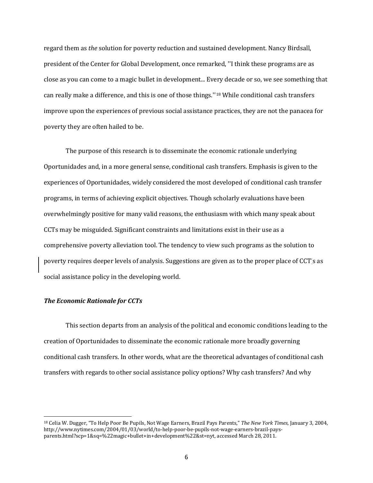regard them as *the* solution for poverty reduction and sustained development. Nancy Birdsall, president of the Center for Global Development, once remarked, ''I think these programs are as close as you can come to a magic bullet in development... Every decade or so, we see something that can really make a difference, and this is one of those things.''[18](#page-5-0) While conditional cash transfers improve upon the experiences of previous social assistance practices, they are not the panacea for poverty they are often hailed to be.

The purpose of this research is to disseminate the economic rationale underlying Oportunidades and, in a more general sense, conditional cash transfers. Emphasis is given to the experiences of Oportunidades, widely considered the most developed of conditional cash transfer programs, in terms of achieving explicit objectives. Though scholarly evaluations have been overwhelmingly positive for many valid reasons, the enthusiasm with which many speak about CCTs may be misguided. Significant constraints and limitations exist in their use as a comprehensive poverty alleviation tool. The tendency to view such programs as the solution to poverty requires deeper levels of analysis. Suggestions are given as to the proper place of CCT's as social assistance policy in the developing world.

## *The Economic Rationale for CCTs*

ı

This section departs from an analysis of the political and economic conditions leading to the creation of Oportunidades to disseminate the economic rationale more broadly governing conditional cash transfers. In other words, what are the theoretical advantages of conditional cash transfers with regards to other social assistance policy options? Why cash transfers? And why

<span id="page-5-0"></span><sup>18</sup> Celia W. Dugger, "To Help Poor Be Pupils, Not Wage Earners, Brazil Pays Parents," *The New York Times*, January 3, 2004, [http://www.nytimes.com/2004/01/03/world/to-help-poor-be-pupils-not-wage-earners-brazil-pays](http://www.nytimes.com/2004/01/03/world/to-help-poor-be-pupils-not-wage-earners-brazil-pays-parents.html?scp=1&sq=%22magic+bullet+in+development%22&st=nyt)[parents.html?scp=1&sq=%22magic+bullet+in+development%22&st=nyt,](http://www.nytimes.com/2004/01/03/world/to-help-poor-be-pupils-not-wage-earners-brazil-pays-parents.html?scp=1&sq=%22magic+bullet+in+development%22&st=nyt) accessed March 28, 2011.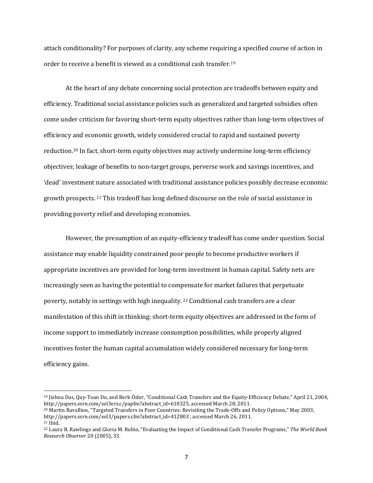attach conditionality? For purposes of clarity, any scheme requiring a specified course of action in order to receive a benefit is viewed as a conditional cash transfer.[19](#page-6-0)

At the heart of any debate concerning social protection are tradeoffs between equity and efficiency. Traditional social assistance policies such as generalized and targeted subsidies often come under criticism for favoring short-term equity objectives rather than long-term objectives of efficiency and economic growth, widely considered crucial to rapid and sustained poverty reduction[.20](#page-6-1) In fact, short-term equity objectives may actively undermine long-term efficiency objectives; leakage of benefits to non-target groups, perverse work and savings incentives, and 'dead' investment nature associated with traditional assistance policies possibly decrease economic growth prospects. [21](#page-6-2) This tradeoff has long defined discourse on the role of social assistance in providing poverty relief and developing economies.

However, the presumption of an equity-efficiency tradeoff has come under question. Social assistance may enable liquidity constrained poor people to become productive workers if appropriate incentives are provided for long-term investment in human capital. Safety nets are increasingly seen as having the potential to compensate for market failures that perpetuate poverty, notably in settings with high inequality. [22](#page-6-3) Conditional cash transfers are a clear manifestation of this shift in thinking: short-term equity objectives are addressed in the form of income support to immediately increase consumption possibilities, while properly aligned incentives foster the human capital accumulation widely considered necessary for long-term efficiency gains.

<span id="page-6-0"></span><sup>19</sup> Jishnu Das, Quy-Toan Do, and Berk Özler, "Conditional Cash Transfers and the Equity-Efficiency Debate," April 21, 2004, [http://papers.ssrn.com/sol3ers.c/papfm?abstract\\_id=610325,](http://papers.ssrn.com/sol3/papers.cfm?abstract_id=610325) accessed March 28, 2011.

<span id="page-6-1"></span><sup>20</sup> Martin Ravallion, "Targeted Transfers in Poor Countries: Revisiting the Trade-Offs and Policy Options," May 2003, http://papers.ssrn.com/sol3/papers.cfm?abstract\_id=412803 , accessed March 26, 2011. <sup>21</sup> Ibid.

<span id="page-6-3"></span><span id="page-6-2"></span><sup>22</sup> Laura B. Rawlings and Gloria M. Rubio, "Evaluating the Impact of Conditional Cash Transfer Programs," *The World Bank Research Observer* 20 (2005), 33.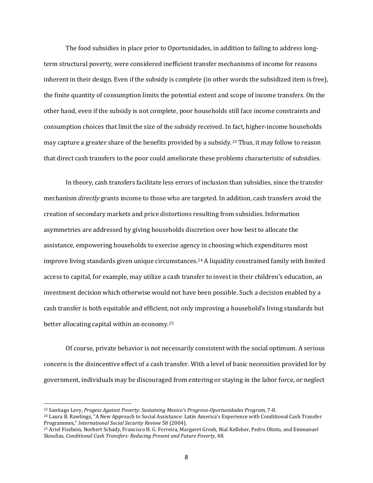The food subsidies in place prior to Oportunidades, in addition to failing to address longterm structural poverty, were considered inefficient transfer mechanisms of income for reasons inherent in their design. Even if the subsidy is complete (in other words the subsidized item is free), the finite quantity of consumption limits the potential extent and scope of income transfers. On the other hand, even if the subsidy is not complete, poor households still face income constraints and consumption choices that limit the size of the subsidy received. In fact, higher-income households may capture a greater share of the benefits provided by a subsidy.[23](#page-7-0) Thus, it may follow to reason that direct cash transfers to the poor could ameliorate these problems characteristic of subsidies.

In theory, cash transfers facilitate less errors of inclusion than subsidies, since the transfer mechanism *directly* grants income to those who are targeted. In addition, cash transfers avoid the creation of secondary markets and price distortions resulting from subsidies. Information asymmetries are addressed by giving households discretion over how best to allocate the assistance, empowering households to exercise agency in choosing which expenditures most improve living standards given unique circumstances. [24](#page-7-1) A liquidity constrained family with limited access to capital, for example, may utilize a cash transfer to invest in their children's education, an investment decision which otherwise would not have been possible. Such a decision enabled by a cash transfer is both equitable and efficient, not only improving a household's living standards but better allocating capital within an economy.[25](#page-7-2)

Of course, private behavior is not necessarily consistent with the social optimum. A serious concern is the disincentive effect of a cash transfer. With a level of basic necessities provided for by government, individuals may be discouraged from entering or staying in the labor force, or neglect

<span id="page-7-0"></span><sup>23</sup> Santiago Levy, *Progess Against Poverty: Sustaining Mexico's Progresa-Oportunidades Program*, 7-8.

<span id="page-7-1"></span><sup>24</sup> Laura B. Rawlings, "A New Approach to Social Assistance: Latin America's Experience with Conditional Cash Transfer Programmes," *International Social Security Review* 58 (2004).

<span id="page-7-2"></span><sup>25</sup> Ariel Fiszbein, Norbert Schady, Francisco H. G. Ferreira, Margaret Grosh, Nial Kelleher, Pedro Olinto, and Emmanuel Skoufias, *Conditional Cash Transfers: Reducing Present and Future Poverty*, 48.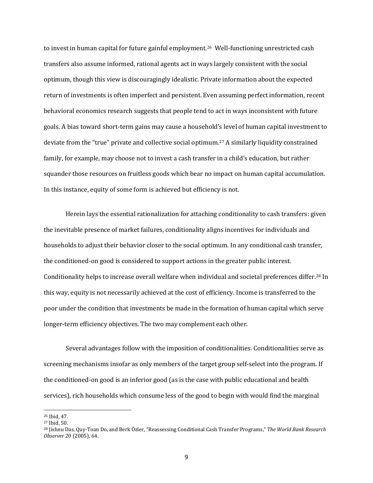to invest in human capital for future gainful employment.[26](#page-8-0) Well-functioning unrestricted cash transfers also assume informed, rational agents act in ways largely consistent with the social optimum, though this view is discouragingly idealistic. Private information about the expected return of investments is often imperfect and persistent. Even assuming perfect information, recent behavioral economics research suggests that people tend to act in ways inconsistent with future goals. A bias toward short-term gains may cause a household's level of human capital investment to deviate from the "true" private and collective social optimum[.27](#page-8-1) A similarly liquidity constrained family, for example, may choose not to invest a cash transfer in a child's education, but rather squander those resources on fruitless goods which bear no impact on human capital accumulation. In this instance, equity of some form is achieved but efficiency is not.

Herein lays the essential rationalization for attaching conditionality to cash transfers: given the inevitable presence of market failures, conditionality aligns incentives for individuals and households to adjust their behavior closer to the social optimum. In any conditional cash transfer, the conditioned-on good is considered to support actions in the greater public interest. Conditionality helps to increase overall welfare when individual and societal preferences differ. [28](#page-8-2) In this way, equity is not necessarily achieved at the cost of efficiency. Income is transferred to the poor under the condition that investments be made in the formation of human capital which serve longer-term efficiency objectives. The two may complement each other.

Several advantages follow with the imposition of conditionalities. Conditionalities serve as screening mechanisms insofar as only members of the target group self-select into the program. If the conditioned-on good is an inferior good (as is the case with public educational and health services), rich households which consume less of the good to begin with would find the marginal

<span id="page-8-0"></span><sup>26</sup> Ibid, 47.

<span id="page-8-1"></span><sup>27</sup> Ibid, 50.

<span id="page-8-2"></span><sup>28</sup> Jishnu Das, Quy-Toan Do, and Berk Özler, "Reassessing Conditional Cash Transfer Programs," *The World Bank Research Observer* 20 (2005), 64.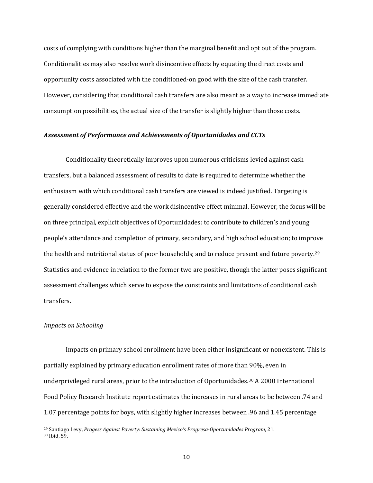costs of complying with conditions higher than the marginal benefit and opt out of the program. Conditionalities may also resolve work disincentive effects by equating the direct costs and opportunity costs associated with the conditioned-on good with the size of the cash transfer. However, considering that conditional cash transfers are also meant as a way to increase immediate consumption possibilities, the actual size of the transfer is slightly higher than those costs.

#### *Assessment of Performance and Achievements of Oportunidades and CCTs*

Conditionality theoretically improves upon numerous criticisms levied against cash transfers, but a balanced assessment of results to date is required to determine whether the enthusiasm with which conditional cash transfers are viewed is indeed justified. Targeting is generally considered effective and the work disincentive effect minimal. However, the focus will be on three principal, explicit objectives of Oportunidades: to contribute to children's and young people's attendance and completion of primary, secondary, and high school education; to improve the health and nutritional status of poor households; and to reduce present and future poverty.<sup>[29](#page-9-0)</sup> Statistics and evidence in relation to the former two are positive, though the latter poses significant assessment challenges which serve to expose the constraints and limitations of conditional cash transfers.

# *Impacts on Schooling*

ı

Impacts on primary school enrollment have been either insignificant or nonexistent. This is partially explained by primary education enrollment rates of more than 90%, even in underprivileged rural areas, prior to the introduction of Oportunidades.[30](#page-9-1) A 2000 International Food Policy Research Institute report estimates the increases in rural areas to be between .74 and 1.07 percentage points for boys, with slightly higher increases between .96 and 1.45 percentage

<span id="page-9-1"></span><span id="page-9-0"></span><sup>29</sup> Santiago Levy, *Progess Against Poverty: Sustaining Mexico's Progresa-Oportunidades Program*, 21. <sup>30</sup> Ibid, 59.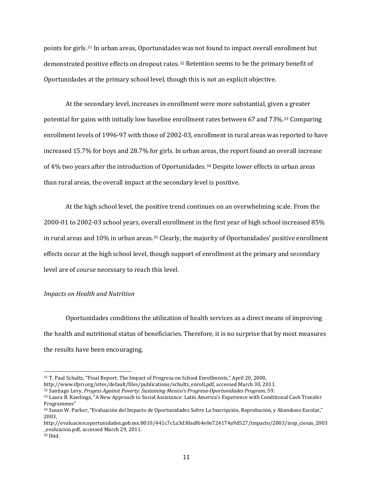points for girls.[31](#page-10-0) In urban areas, Oportunidades was not found to impact overall enrollment but demonstrated positive effects on dropout rates.[32](#page-10-1) Retention seems to be the primary benefit of Oportunidades at the primary school level, though this is not an explicit objective.

At the secondary level, increases in enrollment were more substantial, given a greater potential for gains with initially low baseline enrollment rates between 67 and 73%. [33](#page-10-2) Comparing enrollment levels of 1996-97 with those of 2002-03, enrollment in rural areas was reported to have increased 15.7% for boys and 28.7% for girls. In urban areas, the report found an overall increase of 4% two years after the introduction of Oportunidades.[34](#page-10-3) Despite lower effects in urban areas than rural areas, the overall impact at the secondary level is positive.

At the high school level, the positive trend continues on an overwhelming scale. From the 2000-01 to 2002-03 school years, overall enrollment in the first year of high school increased 85% in rural areas and 10% in urban areas. [35](#page-10-4) Clearly, the majority of Oportunidades' positive enrollment effects occur at the high school level, though support of enrollment at the primary and secondary level are of course necessary to reach this level.

### *Impacts on Health and Nutrition*

Oportunidades conditions the utilization of health services as a direct means of improving the health and nutritional status of beneficiaries. Therefore, it is no surprise that by most measures the results have been encouraging.

<span id="page-10-0"></span><sup>31</sup> T. Paul Schultz, "Final Report: The Impact of Progresa on School Enrollments," April 20, 2000, [http://www.ifpri.org/sites/default/files/publications/schultz\\_enroll.pdf,](http://www.ifpri.org/sites/default/files/publications/schultz_enroll.pdf) accessed March 30, 2011.

<span id="page-10-1"></span><sup>32</sup> Santiago Levy, *Progess Against Poverty: Sustaining Mexico's Progresa-Oportunidades Program*, 59.

<span id="page-10-2"></span><sup>33</sup> Laura B. Rawlings, "A New Approach to Social Assistance: Latin America's Experience with Conditional Cash Transfer Programmes"

<span id="page-10-3"></span><sup>34</sup> Susan W. Parker, "Evaluación del Impacto de Oportunidades Sobre La Inscripción, Reprobación, y Abandono Escolar," 2003,

[http://evaluacion.oportunidades.gob.mx:8010/441c7c1a3d30adf64e0e724174a9d527/impacto/2003/insp\\_ciesas\\_2003](http://evaluacion.oportunidades.gob.mx:8010/441c7c1a3d30adf64e0e724174a9d527/impacto/2003/insp_ciesas_2003_evaluacion.pdf) [\\_evaluacion.pdf,](http://evaluacion.oportunidades.gob.mx:8010/441c7c1a3d30adf64e0e724174a9d527/impacto/2003/insp_ciesas_2003_evaluacion.pdf) accessed March 29, 2011.

<span id="page-10-4"></span><sup>35</sup> Ibid.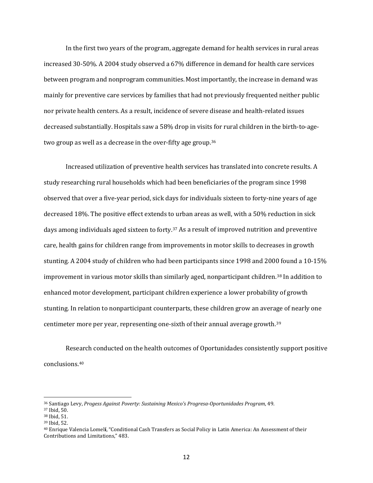In the first two years of the program, aggregate demand for health services in rural areas increased 30-50%. A 2004 study observed a 67% difference in demand for health care services between program and nonprogram communities. Most importantly, the increase in demand was mainly for preventive care services by families that had not previously frequented neither public nor private health centers. As a result, incidence of severe disease and health-related issues decreased substantially. Hospitals saw a 58% drop in visits for rural children in the birth-to-age-two group as well as a decrease in the over-fifty age group.<sup>[36](#page-11-0)</sup>

Increased utilization of preventive health services has translated into concrete results. A study researching rural households which had been beneficiaries of the program since 1998 observed that over a five-year period, sick days for individuals sixteen to forty-nine years of age decreased 18%. The positive effect extends to urban areas as well, with a 50% reduction in sick days among individuals aged sixteen to forty.[37](#page-11-1) As a result of improved nutrition and preventive care, health gains for children range from improvements in motor skills to decreases in growth stunting. A 2004 study of children who had been participants since 1998 and 2000 found a 10-15% improvement in various motor skills than similarly aged, nonparticipant children.[38](#page-11-2) In addition to enhanced motor development, participant children experience a lower probability of growth stunting. In relation to nonparticipant counterparts, these children grow an average of nearly one centimeter more per year, representing one-sixth of their annual average growth.[39](#page-11-3)

Research conducted on the health outcomes of Oportunidades consistently support positive conclusions.[40](#page-11-4)

<span id="page-11-1"></span><span id="page-11-0"></span><sup>36</sup> Santiago Levy, *Progess Against Poverty: Sustaining Mexico's Progresa-Oportunidades Program*, 49. 37 Ibid, 50.

<span id="page-11-2"></span><sup>38</sup> Ibid, 51.

<span id="page-11-3"></span><sup>39</sup> Ibid, 52.

<span id="page-11-4"></span><sup>40</sup> Enrique Valencia Lomel**í**, "Conditional Cash Transfers as Social Policy in Latin America: An Assessment of their Contributions and Limitations," 483.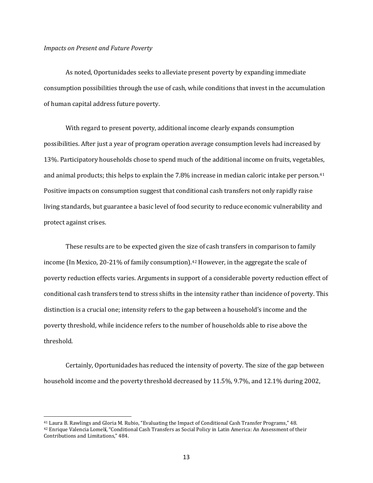### *Impacts on Present and Future Poverty*

ı

As noted, Oportunidades seeks to alleviate present poverty by expanding immediate consumption possibilities through the use of cash, while conditions that invest in the accumulation of human capital address future poverty.

With regard to present poverty, additional income clearly expands consumption possibilities. After just a year of program operation average consumption levels had increased by 13%. Participatory households chose to spend much of the additional income on fruits, vegetables, and animal products; this helps to explain the 7.8% increase in median caloric intake per person.<sup>[41](#page-12-0)</sup> Positive impacts on consumption suggest that conditional cash transfers not only rapidly raise living standards, but guarantee a basic level of food security to reduce economic vulnerability and protect against crises.

These results are to be expected given the size of cash transfers in comparison to family income (In Mexico, 20-21% of family consumption). [42](#page-12-1) However, in the aggregate the scale of poverty reduction effects varies. Arguments in support of a considerable poverty reduction effect of conditional cash transfers tend to stress shifts in the intensity rather than incidence of poverty. This distinction is a crucial one; intensity refers to the gap between a household's income and the poverty threshold, while incidence refers to the number of households able to rise above the threshold.

Certainly, Oportunidades has reduced the intensity of poverty. The size of the gap between household income and the poverty threshold decreased by 11.5%, 9.7%, and 12.1% during 2002,

<span id="page-12-1"></span><span id="page-12-0"></span><sup>41</sup> Laura B. Rawlings and Gloria M. Rubio, "Evaluating the Impact of Conditional Cash Transfer Programs," 48. <sup>42</sup> Enrique Valencia Lomel**í**, "Conditional Cash Transfers as Social Policy in Latin America: An Assessment of their Contributions and Limitations," 484.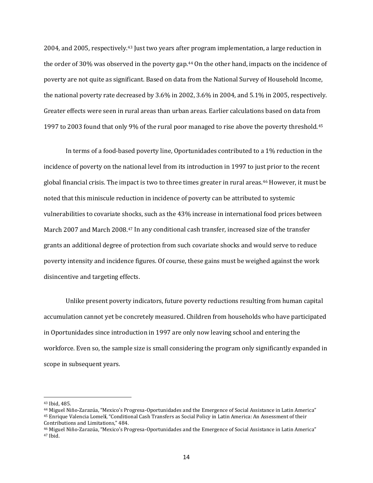2004, and 2005, respectively.[43](#page-13-0) Just two years after program implementation, a large reduction in the order of 30% was observed in the poverty gap.<sup>[44](#page-13-1)</sup> On the other hand, impacts on the incidence of poverty are not quite as significant. Based on data from the National Survey of Household Income, the national poverty rate decreased by 3.6% in 2002, 3.6% in 2004, and 5.1% in 2005, respectively. Greater effects were seen in rural areas than urban areas. Earlier calculations based on data from 1997 to 2003 found that only 9% of the rural poor managed to rise above the poverty threshold.[45](#page-13-2)

In terms of a food-based poverty line, Oportunidades contributed to a 1% reduction in the incidence of poverty on the national level from its introduction in 1997 to just prior to the recent global financial crisis. The impact is two to three times greater in rural areas.[46](#page-13-3) However, it must be noted that this miniscule reduction in incidence of poverty can be attributed to systemic vulnerabilities to covariate shocks, such as the 43% increase in international food prices between March 2007 and March 2008.<sup>[47](#page-13-4)</sup> In any conditional cash transfer, increased size of the transfer grants an additional degree of protection from such covariate shocks and would serve to reduce poverty intensity and incidence figures. Of course, these gains must be weighed against the work disincentive and targeting effects.

Unlike present poverty indicators, future poverty reductions resulting from human capital accumulation cannot yet be concretely measured. Children from households who have participated in Oportunidades since introduction in 1997 are only now leaving school and entering the workforce. Even so, the sample size is small considering the program only significantly expanded in scope in subsequent years.

<span id="page-13-0"></span><sup>43</sup> Ibid, 485.

<span id="page-13-2"></span><span id="page-13-1"></span><sup>44</sup> Miguel Niño-Zarazúa, "Mexico's Progresa-Oportunidades and the Emergence of Social Assistance in Latin America" <sup>45</sup> Enrique Valencia Lomel**í**, "Conditional Cash Transfers as Social Policy in Latin America: An Assessment of their Contributions and Limitations," 484.

<span id="page-13-4"></span><span id="page-13-3"></span><sup>46</sup> Miguel Niño-Zarazúa, "Mexico's Progresa-Oportunidades and the Emergence of Social Assistance in Latin America" <sup>47</sup> Ibid.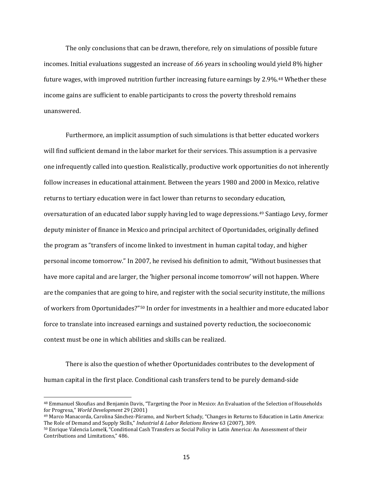The only conclusions that can be drawn, therefore, rely on simulations of possible future incomes. Initial evaluations suggested an increase of .66 years in schooling would yield 8% higher future wages, with improved nutrition further increasing future earnings by 2.9%.<sup>[48](#page-14-0)</sup> Whether these income gains are sufficient to enable participants to cross the poverty threshold remains unanswered.

Furthermore, an implicit assumption of such simulations is that better educated workers will find sufficient demand in the labor market for their services. This assumption is a pervasive one infrequently called into question. Realistically, productive work opportunities do not inherently follow increases in educational attainment. Between the years 1980 and 2000 in Mexico, relative returns to tertiary education were in fact lower than returns to secondary education, oversaturation of an educated labor supply having led to wage depressions. [49](#page-14-1) Santiago Levy, former deputy minister of finance in Mexico and principal architect of Oportunidades, originally defined the program as "transfers of income linked to investment in human capital today, and higher personal income tomorrow." In 2007, he revised his definition to admit, "Without businesses that have more capital and are larger, the 'higher personal income tomorrow' will not happen. Where are the companies that are going to hire, and register with the social security institute, the millions of workers from Oportunidades?"<sup>[50](#page-14-2)</sup> In order for investments in a healthier and more educated labor force to translate into increased earnings and sustained poverty reduction, the socioeconomic context must be one in which abilities and skills can be realized.

There is also the question of whether Oportunidades contributes to the development of human capital in the first place. Conditional cash transfers tend to be purely demand-side

<span id="page-14-0"></span><sup>48</sup> Emmanuel Skoufias and Benjamin Davis, "Targeting the Poor in Mexico: An Evaluation of the Selection of Households for Progresa," *World Development* 29 (2001)

<span id="page-14-1"></span><sup>49</sup> Marco Manacorda, Carolina Sánchez-Páramo, and Norbert Schady, "Changes in Returns to Education in Latin America: The Role of Demand and Supply Skills," *Industrial & Labor Relations Review* 63 (2007), 309.

<span id="page-14-2"></span><sup>50</sup> Enrique Valencia Lomel**í**, "Conditional Cash Transfers as Social Policy in Latin America: An Assessment of their Contributions and Limitations," 486.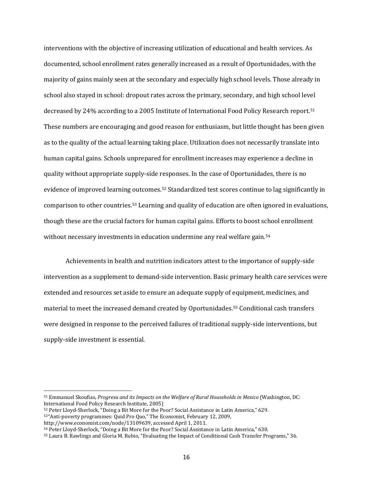interventions with the objective of increasing utilization of educational and health services. As documented, school enrollment rates generally increased as a result of Oportunidades, with the majority of gains mainly seen at the secondary and especially high school levels. Those already in school also stayed in school: dropout rates across the primary, secondary, and high school level decreased by 24% according to a 2005 Institute of International Food Policy Research report.[51](#page-15-0) These numbers are encouraging and good reason for enthusiasm, but little thought has been given as to the quality of the actual learning taking place. Utilization does not necessarily translate into human capital gains. Schools unprepared for enrollment increases may experience a decline in quality without appropriate supply-side responses. In the case of Oportunidades, there is no evidence of improved learning outcomes.[52](#page-15-1) Standardized test scores continue to lag significantly in comparison to other countries.[53](#page-15-2) Learning and quality of education are often ignored in evaluations, though these are the crucial factors for human capital gains. Efforts to boost school enrollment without necessary investments in education undermine any real welfare gain.<sup>[54](#page-15-3)</sup>

Achievements in health and nutrition indicators attest to the importance of supply-side intervention as a supplement to demand-side intervention. Basic primary health care services were extended and resources set aside to ensure an adequate supply of equipment, medicines, and material to meet the increased demand created by Oportunidades.[55](#page-15-4) Conditional cash transfers were designed in response to the perceived failures of traditional supply-side interventions, but supply-side investment is essential.

- <span id="page-15-1"></span><sup>52</sup> Peter Lloyd-Sherlock, "Doing a Bit More for the Poor? Social Assistance in Latin America," 629.
- <span id="page-15-2"></span>53"Anti-poverty programmes: Quid Pro Quo," The Economist, February 12, 2009,

<span id="page-15-0"></span><sup>51</sup> Emmanuel Skoufias, *Progresa and its Impacts on the Welfare of Rural Households in Mexico* (Washington, DC: International Food Policy Research Institute, 2005)

[http://www.economist.com/node/13109639,](http://www.economist.com/node/13109639) accessed April 1, 2011.

<span id="page-15-3"></span><sup>54</sup> Peter Lloyd-Sherlock, "Doing a Bit More for the Poor? Social Assistance in Latin America," 630.

<span id="page-15-4"></span><sup>55</sup> Laura B. Rawlings and Gloria M. Rubio, "Evaluating the Impact of Conditional Cash Transfer Programs," 36.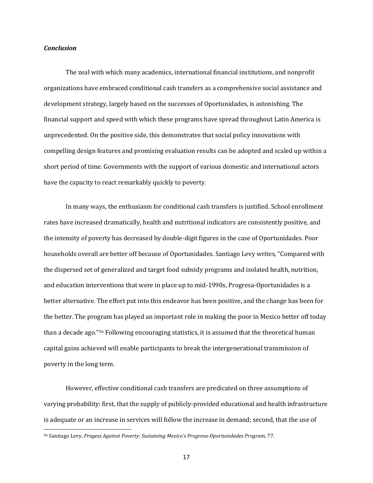# *Conclusion*

The zeal with which many academics, international financial institutions, and nonprofit organizations have embraced conditional cash transfers as a comprehensive social assistance and development strategy, largely based on the successes of Oportunidades, is astonishing. The financial support and speed with which these programs have spread throughout Latin America is unprecedented. On the positive side, this demonstrates that social policy innovations with compelling design features and promising evaluation results can be adopted and scaled up within a short period of time. Governments with the support of various domestic and international actors have the capacity to react remarkably quickly to poverty.

In many ways, the enthusiasm for conditional cash transfers is justified. School enrollment rates have increased dramatically, health and nutritional indicators are consistently positive, and the intensity of poverty has decreased by double-digit figures in the case of Oportunidades. Poor households overall are better off because of Oportunidades. Santiago Levy writes, "Compared with the dispersed set of generalized and target food subsidy programs and isolated health, nutrition, and education interventions that were in place up to mid-1990s, Progresa-Oportunidades is a better alternative. The effort put into this endeavor has been positive, and the change has been for the better. The program has played an important role in making the poor in Mexico better off today than a decade ago."<sup>[56](#page-16-0)</sup> Following encouraging statistics, it is assumed that the theoretical human capital gains achieved will enable participants to break the intergenerational transmission of poverty in the long term.

However, effective conditional cash transfers are predicated on three assumptions of varying probability: first, that the supply of publicly-provided educational and health infrastructure is adequate or an increase in services will follow the increase in demand; second, that the use of  $\overline{\phantom{0}}$ 

<span id="page-16-0"></span><sup>56</sup> Santiago Levy, *Progess Against Poverty: Sustaining Mexico's Progresa-Oportunidades Program*, 77.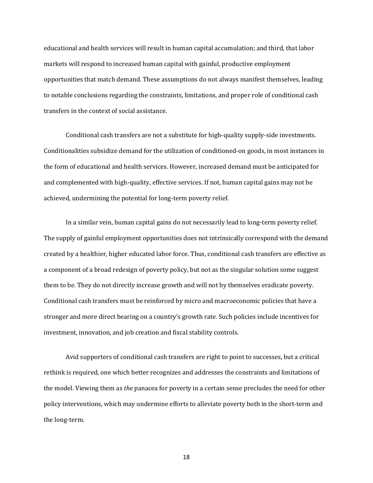educational and health services will result in human capital accumulation; and third, that labor markets will respond to increased human capital with gainful, productive employment opportunities that match demand. These assumptions do not always manifest themselves, leading to notable conclusions regarding the constraints, limitations, and proper role of conditional cash transfers in the context of social assistance.

Conditional cash transfers are not a substitute for high-quality supply-side investments. Conditionalities subsidize demand for the utilization of conditioned-on goods, in most instances in the form of educational and health services. However, increased demand must be anticipated for and complemented with high-quality, effective services. If not, human capital gains may not be achieved, undermining the potential for long-term poverty relief.

In a similar vein, human capital gains do not necessarily lead to long-term poverty relief. The supply of gainful employment opportunities does not intrinsically correspond with the demand created by a healthier, higher educated labor force. Thus, conditional cash transfers are effective as a component of a broad redesign of poverty policy, but not as the singular solution some suggest them to be. They do not directly increase growth and will not by themselves eradicate poverty. Conditional cash transfers must be reinforced by micro and macroeconomic policies that have a stronger and more direct bearing on a country's growth rate. Such policies include incentives for investment, innovation, and job creation and fiscal stability controls.

Avid supporters of conditional cash transfers are right to point to successes, but a critical rethink is required, one which better recognizes and addresses the constraints and limitations of the model. Viewing them as *the* panacea for poverty in a certain sense precludes the need for other policy interventions, which may undermine efforts to alleviate poverty both in the short-term and the long-term.

18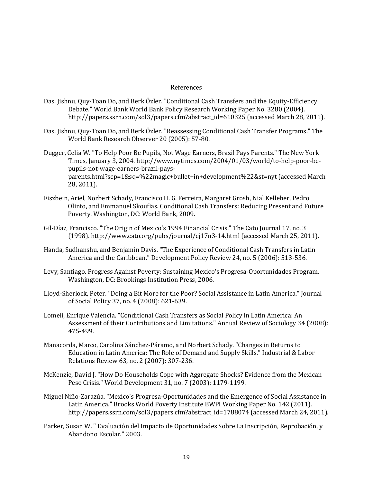# References

- Das, Jishnu, Quy-Toan Do, and Berk Özler. "Conditional Cash Transfers and the Equity-Efficiency Debate." World Bank World Bank Policy Research Working Paper No. 3280 (2004). http://papers.ssrn.com/sol3/papers.cfm?abstract\_id=610325 (accessed March 28, 2011).
- Das, Jishnu, Quy-Toan Do, and Berk Özler. "Reassessing Conditional Cash Transfer Programs." The World Bank Research Observer 20 (2005): 57-80.

Dugger, Celia W. "To Help Poor Be Pupils, Not Wage Earners, Brazil Pays Parents." The New York Times, January 3, 2004. http://www.nytimes.com/2004/01/03/world/to-help-poor-bepupils-not-wage-earners-brazil-paysparents.html?scp=1&sq=%22magic+bullet+in+development%22&st=nyt (accessed March 28, 2011).

- Fiszbein, Ariel, Norbert Schady, Francisco H. G. Ferreira, Margaret Grosh, Nial Kelleher, Pedro Olinto, and Emmanuel Skoufias. Conditional Cash Transfers: Reducing Present and Future Poverty. Washington, DC: World Bank, 2009.
- Gil-Díaz, Francisco. "The Origin of Mexico's 1994 Financial Crisis." The Cato Journal 17, no. 3 (1998). http://www.cato.org/pubs/journal/cj17n3-14.html (accessed March 25, 2011).
- Handa, Sudhanshu, and Benjamin Davis. "The Experience of Conditional Cash Transfers in Latin America and the Caribbean." Development Policy Review 24, no. 5 (2006): 513-536.
- Levy, Santiago. Progress Against Poverty: Sustaining Mexico's Progresa-Oportunidades Program. Washington, DC: Brookings Institution Press, 2006.
- Lloyd-Sherlock, Peter. "Doing a Bit More for the Poor? Social Assistance in Latin America." Journal of Social Policy 37, no. 4 (2008): 621-639.
- Lomelí, Enrique Valencia. "Conditional Cash Transfers as Social Policy in Latin America: An Assessment of their Contributions and Limitations." Annual Review of Sociology 34 (2008): 475-499.
- Manacorda, Marco, Carolina Sánchez-Páramo, and Norbert Schady. "Changes in Returns to Education in Latin America: The Role of Demand and Supply Skills." Industrial & Labor Relations Review 63, no. 2 (2007): 307-236.
- McKenzie, David J. "How Do Households Cope with Aggregate Shocks? Evidence from the Mexican Peso Crisis." World Development 31, no. 7 (2003): 1179-1199.
- Miguel Niño-Zarazúa. "Mexico's Progresa-Oportunidades and the Emergence of Social Assistance in Latin America." Brooks World Poverty Institute BWPI Working Paper No. 142 (2011). http://papers.ssrn.com/sol3/papers.cfm?abstract\_id=1788074 (accessed March 24, 2011).
- Parker, Susan W. " Evaluación del Impacto de Oportunidades Sobre La Inscripción, Reprobación, y Abandono Escolar." 2003.